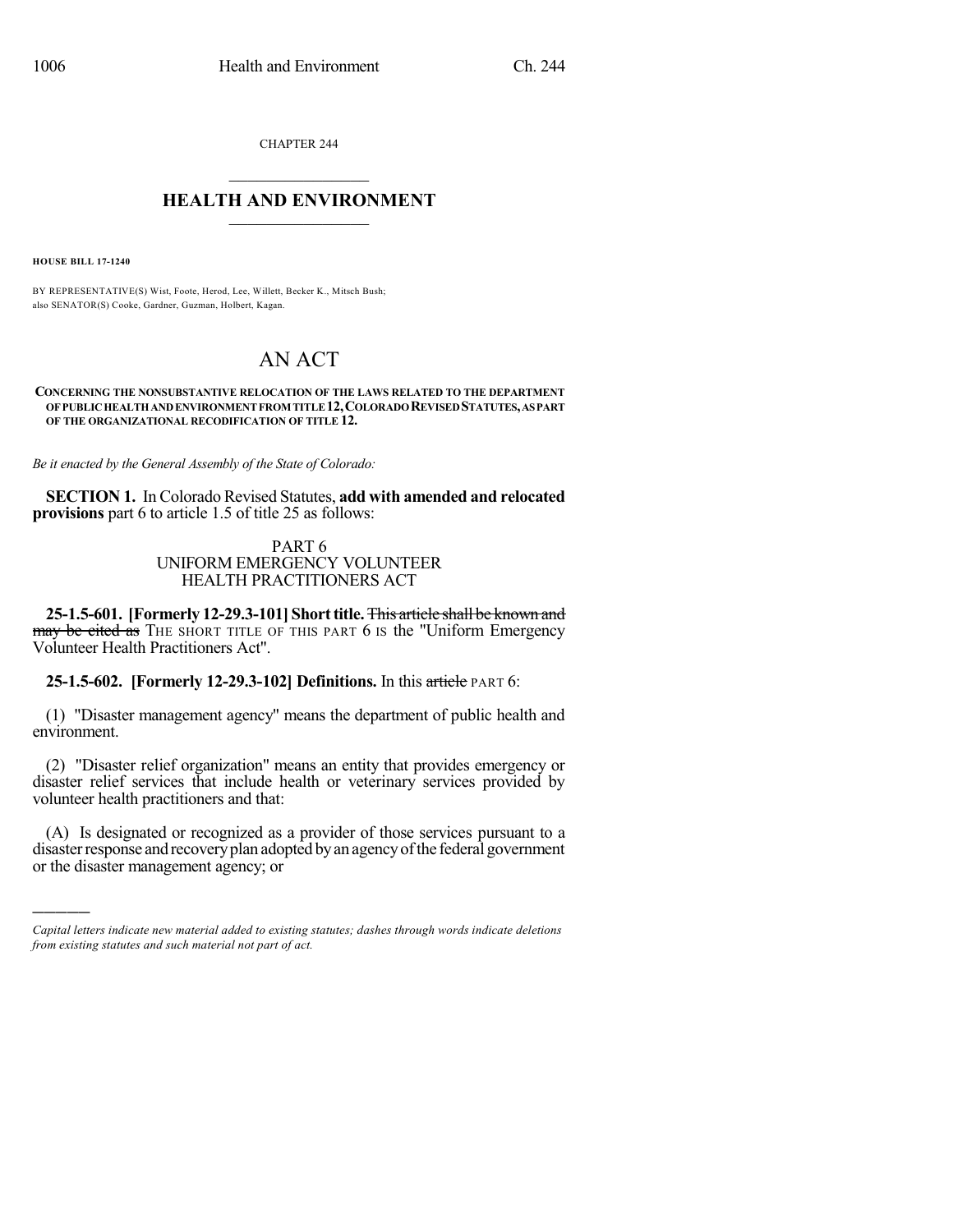CHAPTER 244

## $\mathcal{L}_\text{max}$  . The set of the set of the set of the set of the set of the set of the set of the set of the set of the set of the set of the set of the set of the set of the set of the set of the set of the set of the set **HEALTH AND ENVIRONMENT**  $\_$

**HOUSE BILL 17-1240**

)))))

BY REPRESENTATIVE(S) Wist, Foote, Herod, Lee, Willett, Becker K., Mitsch Bush; also SENATOR(S) Cooke, Gardner, Guzman, Holbert, Kagan.

# AN ACT

#### **CONCERNING THE NONSUBSTANTIVE RELOCATION OF THE LAWS RELATED TO THE DEPARTMENT OFPUBLICHEALTHANDENVIRONMENTFROM TITLE12,COLORADOREVISEDSTATUTES,ASPART OF THE ORGANIZATIONAL RECODIFICATION OF TITLE 12.**

*Be it enacted by the General Assembly of the State of Colorado:*

**SECTION 1.** In Colorado Revised Statutes, **add with amended and relocated provisions** part 6 to article 1.5 of title 25 as follows:

#### PART 6 UNIFORM EMERGENCY VOLUNTEER HEALTH PRACTITIONERS ACT

**25-1.5-601. [Formerly 12-29.3-101] Shorttitle.**This article shall be known and may be cited as THE SHORT TITLE OF THIS PART 6 IS the "Uniform Emergency Volunteer Health Practitioners Act".

**25-1.5-602. [Formerly 12-29.3-102] Definitions.** In this article PART 6:

(1) "Disaster management agency" means the department of public health and environment.

(2) "Disaster relief organization" means an entity that provides emergency or disaster relief services that include health or veterinary services provided by volunteer health practitioners and that:

(A) Is designated or recognized as a provider of those services pursuant to a disaster response and recovery plan adopted by an agency of the federal government or the disaster management agency; or

*Capital letters indicate new material added to existing statutes; dashes through words indicate deletions from existing statutes and such material not part of act.*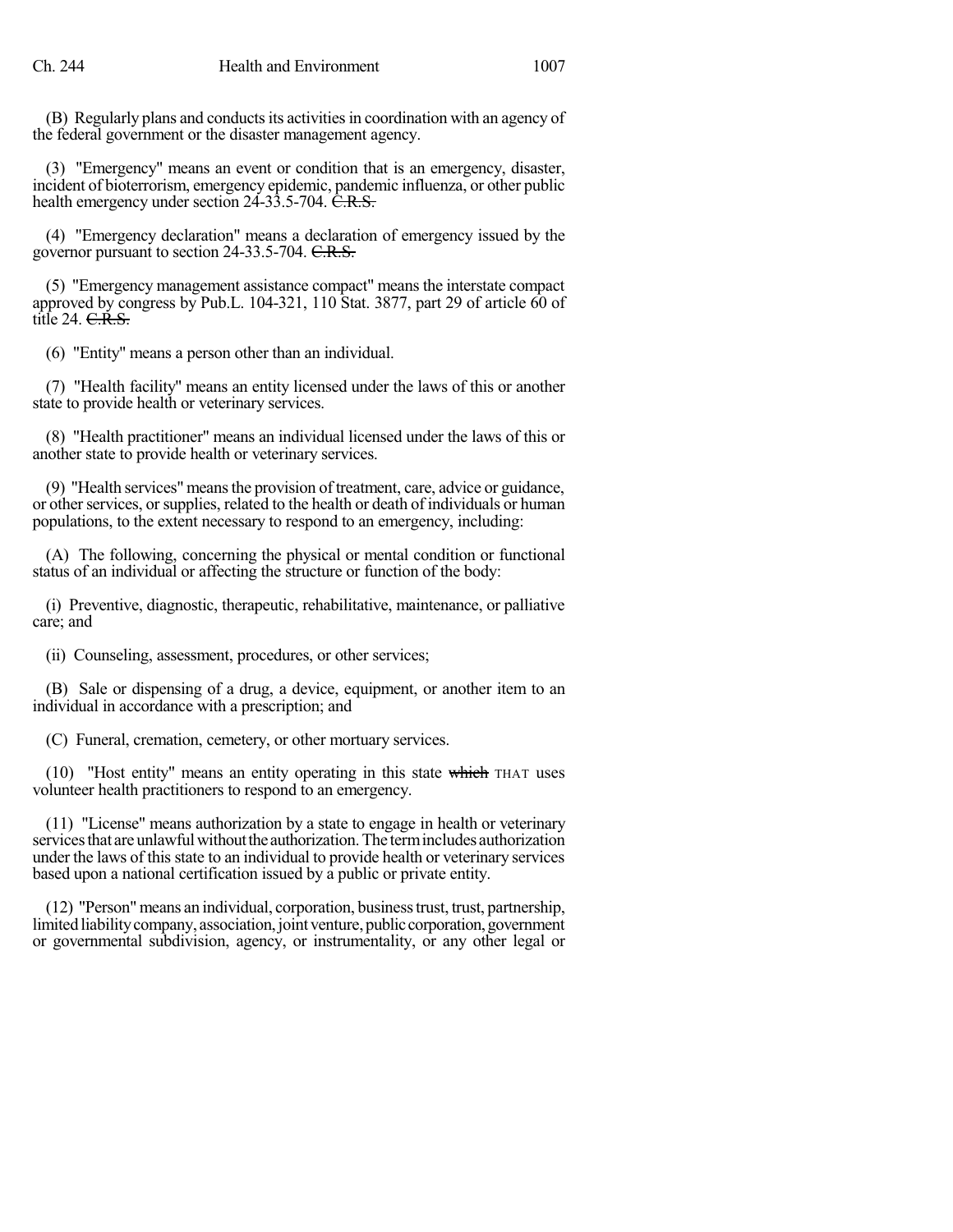(B) Regularly plans and conducts its activities in coordination with an agency of the federal government or the disaster management agency.

(3) "Emergency" means an event or condition that is an emergency, disaster, incident of bioterrorism, emergency epidemic, pandemic influenza, or other public health emergency under section  $24-33.5-704$ .  $\overline{C.R.S.}$ 

(4) "Emergency declaration" means a declaration of emergency issued by the governor pursuant to section 24-33.5-704. C.R.S.

(5) "Emergency management assistance compact" means the interstate compact approved by congress by Pub.L. 104-321, 110 Stat. 3877, part 29 of article 60 of title 24. <del>C.R.S.</del>

(6) "Entity" means a person other than an individual.

(7) "Health facility" means an entity licensed under the laws of this or another state to provide health or veterinary services.

(8) "Health practitioner" means an individual licensed under the laws of this or another state to provide health or veterinary services.

(9) "Health services" meansthe provision of treatment, care, advice or guidance, or other services, or supplies, related to the health or death of individuals or human populations, to the extent necessary to respond to an emergency, including:

(A) The following, concerning the physical or mental condition or functional status of an individual or affecting the structure or function of the body:

(i) Preventive, diagnostic, therapeutic, rehabilitative, maintenance, or palliative care; and

(ii) Counseling, assessment, procedures, or other services;

(B) Sale or dispensing of a drug, a device, equipment, or another item to an individual in accordance with a prescription; and

(C) Funeral, cremation, cemetery, or other mortuary services.

(10) "Host entity" means an entity operating in this state which THAT uses volunteer health practitioners to respond to an emergency.

(11) "License" means authorization by a state to engage in health or veterinary services that are unlawful without the authorization. The term includes authorization under the laws of this state to an individual to provide health or veterinary services based upon a national certification issued by a public or private entity.

(12) "Person"means an individual, corporation, businesstrust, trust, partnership, limited liability company, association, joint venture, public corporation, government or governmental subdivision, agency, or instrumentality, or any other legal or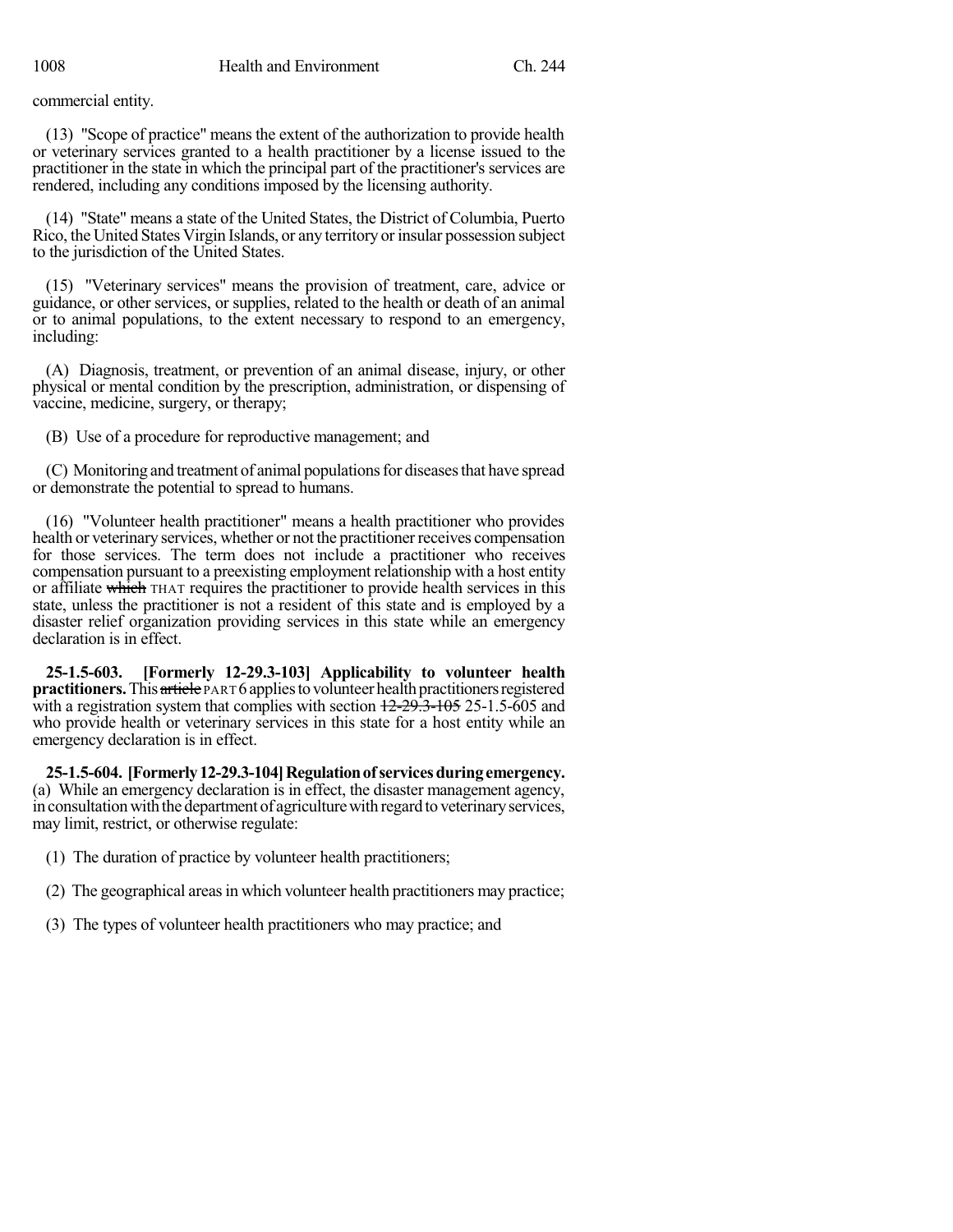commercial entity.

(13) "Scope of practice" means the extent of the authorization to provide health or veterinary services granted to a health practitioner by a license issued to the practitioner in the state in which the principal part of the practitioner's services are rendered, including any conditions imposed by the licensing authority.

(14) "State" means a state of the United States, the District of Columbia, Puerto Rico, the United States Virgin Islands, or any territory or insular possession subject to the jurisdiction of the United States.

(15) "Veterinary services" means the provision of treatment, care, advice or guidance, or other services, or supplies, related to the health or death of an animal or to animal populations, to the extent necessary to respond to an emergency, including:

(A) Diagnosis, treatment, or prevention of an animal disease, injury, or other physical or mental condition by the prescription, administration, or dispensing of vaccine, medicine, surgery, or therapy;

(B) Use of a procedure for reproductive management; and

(C) Monitoring and treatment of animal populations for diseases that have spread or demonstrate the potential to spread to humans.

(16) "Volunteer health practitioner" means a health practitioner who provides health or veterinary services, whether or not the practitioner receives compensation for those services. The term does not include a practitioner who receives compensation pursuant to a preexisting employment relationship with a host entity or affiliate which THAT requires the practitioner to provide health services in this state, unless the practitioner is not a resident of this state and is employed by a disaster relief organization providing services in this state while an emergency declaration is in effect.

**25-1.5-603. [Formerly 12-29.3-103] Applicability to volunteer health practitioners.** This article PART 6 applies to volunteer health practitioners registered with a registration system that complies with section  $12-29.3-105$  25-1.5-605 and who provide health or veterinary services in this state for a host entity while an emergency declaration is in effect.

**25-1.5-604. [Formerly12-29.3-104]Regulationofservicesduringemergency.** (a) While an emergency declaration is in effect, the disaster management agency, in consultation with the department of agriculture with regard to veterinary services, may limit, restrict, or otherwise regulate:

- (1) The duration of practice by volunteer health practitioners;
- (2) The geographical areas in which volunteer health practitioners may practice;
- (3) The types of volunteer health practitioners who may practice; and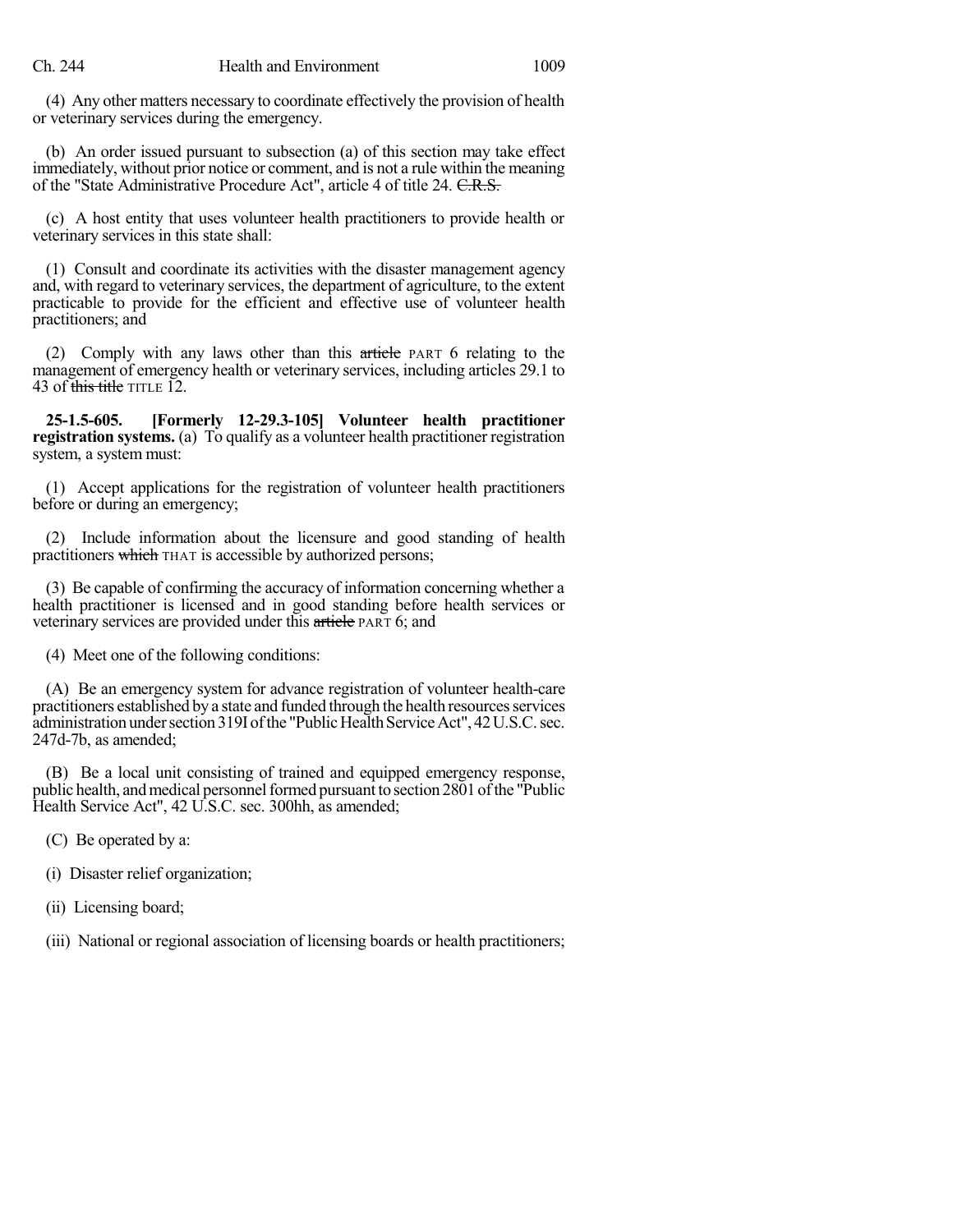(4) Any other matters necessary to coordinate effectively the provision of health or veterinary services during the emergency.

(b) An order issued pursuant to subsection (a) of this section may take effect immediately, without prior notice or comment, and is not a rule within the meaning of the "State Administrative Procedure Act", article 4 of title 24. C.R.S.

(c) A host entity that uses volunteer health practitioners to provide health or veterinary services in this state shall:

(1) Consult and coordinate its activities with the disaster management agency and, with regard to veterinary services, the department of agriculture, to the extent practicable to provide for the efficient and effective use of volunteer health practitioners; and

(2) Comply with any laws other than this article PART 6 relating to the management of emergency health or veterinary services, including articles 29.1 to 43 of this title TITLE 12.

**25-1.5-605. [Formerly 12-29.3-105] Volunteer health practitioner registration systems.** (a) To qualify as a volunteer health practitioner registration system, a system must:

(1) Accept applications for the registration of volunteer health practitioners before or during an emergency;

(2) Include information about the licensure and good standing of health practitioners which THAT is accessible by authorized persons;

(3) Be capable of confirming the accuracy of information concerning whether a health practitioner is licensed and in good standing before health services or veterinary services are provided under this article PART 6; and

(4) Meet one of the following conditions:

(A) Be an emergency system for advance registration of volunteer health-care practitioners established by a state and funded through the health resourcesservices administration under section 319I of the "Public Health Service Act", 42 U.S.C. sec. 247d-7b, as amended;

(B) Be a local unit consisting of trained and equipped emergency response, public health, and medical personnel formed pursuant to section  $2801$  of the "Public Health Service Act", 42 U.S.C. sec. 300hh, as amended;

(C) Be operated by a:

(i) Disaster relief organization;

(ii) Licensing board;

(iii) National or regional association of licensing boards or health practitioners;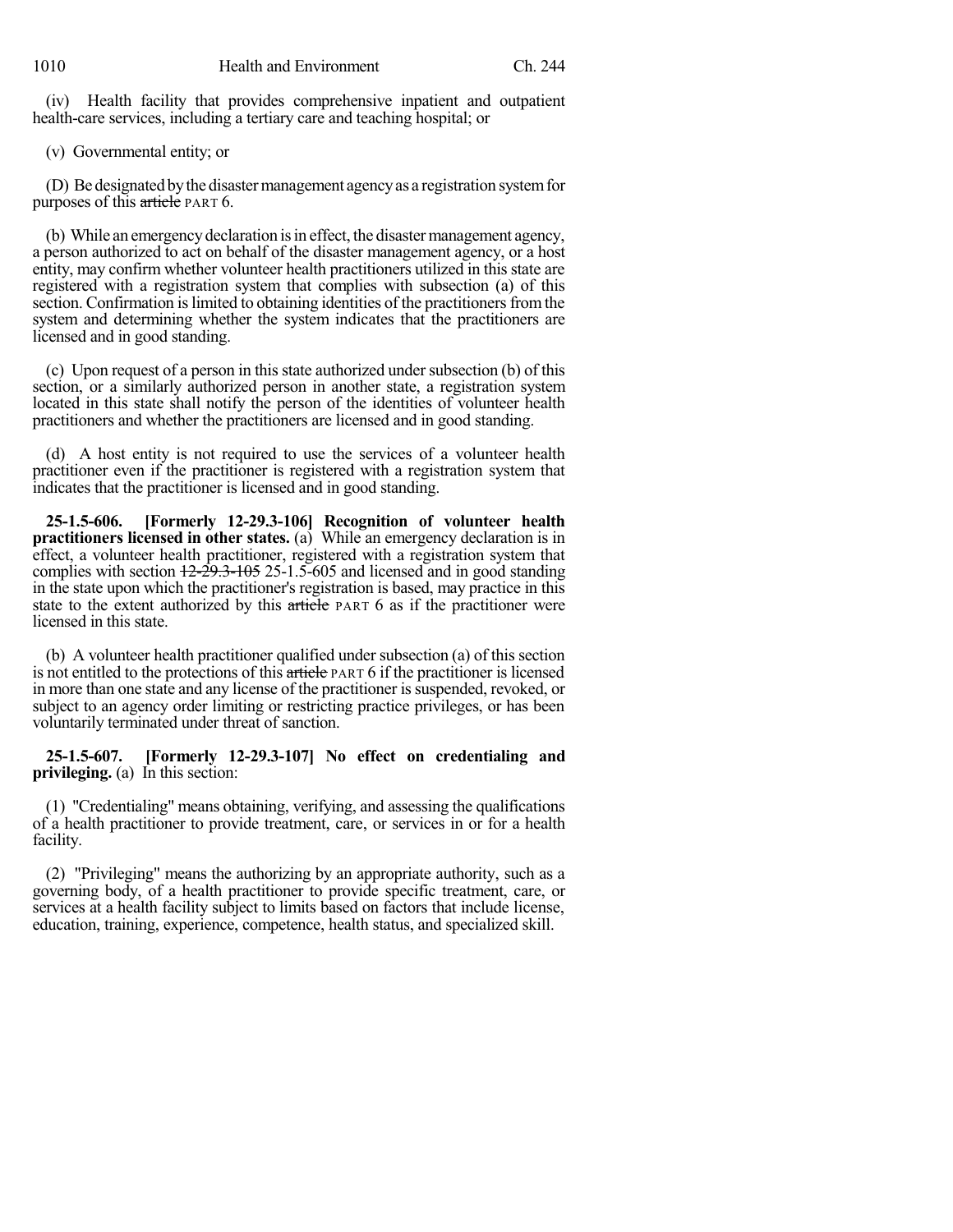(iv) Health facility that provides comprehensive inpatient and outpatient health-care services, including a tertiary care and teaching hospital; or

(v) Governmental entity; or

(D) Be designated bythe disastermanagement agencyas a registration systemfor purposes of this article PART 6.

(b) While an emergency declaration is in effect, the disaster management agency, a person authorized to act on behalf of the disaster management agency, or a host entity, may confirm whether volunteer health practitioners utilized in this state are registered with a registration system that complies with subsection (a) of this section. Confirmation is limited to obtaining identities of the practitioners from the system and determining whether the system indicates that the practitioners are licensed and in good standing.

 $(c)$  Upon request of a person in this state authorized under subsection  $(b)$  of this section, or a similarly authorized person in another state, a registration system located in this state shall notify the person of the identities of volunteer health practitioners and whether the practitioners are licensed and in good standing.

(d) A host entity is not required to use the services of a volunteer health practitioner even if the practitioner is registered with a registration system that indicates that the practitioner is licensed and in good standing.

**25-1.5-606. [Formerly 12-29.3-106] Recognition of volunteer health practitioners licensed in other states.** (a) While an emergency declaration is in effect, a volunteer health practitioner, registered with a registration system that complies with section 12-29.3-105 25-1.5-605 and licensed and in good standing in the state upon which the practitioner's registration is based, may practice in this state to the extent authorized by this article PART 6 as if the practitioner were licensed in this state.

(b) A volunteer health practitioner qualified under subsection (a) of this section is not entitled to the protections of this article PART 6 if the practitioner is licensed in more than one state and any license of the practitioner is suspended, revoked, or subject to an agency order limiting or restricting practice privileges, or has been voluntarily terminated under threat of sanction.

**25-1.5-607. [Formerly 12-29.3-107] No effect on credentialing and privileging.** (a) In this section:

(1) "Credentialing" means obtaining, verifying, and assessing the qualifications of a health practitioner to provide treatment, care, or services in or for a health facility.

(2) "Privileging" means the authorizing by an appropriate authority, such as a governing body, of a health practitioner to provide specific treatment, care, or services at a health facility subject to limits based on factors that include license, education, training, experience, competence, health status, and specialized skill.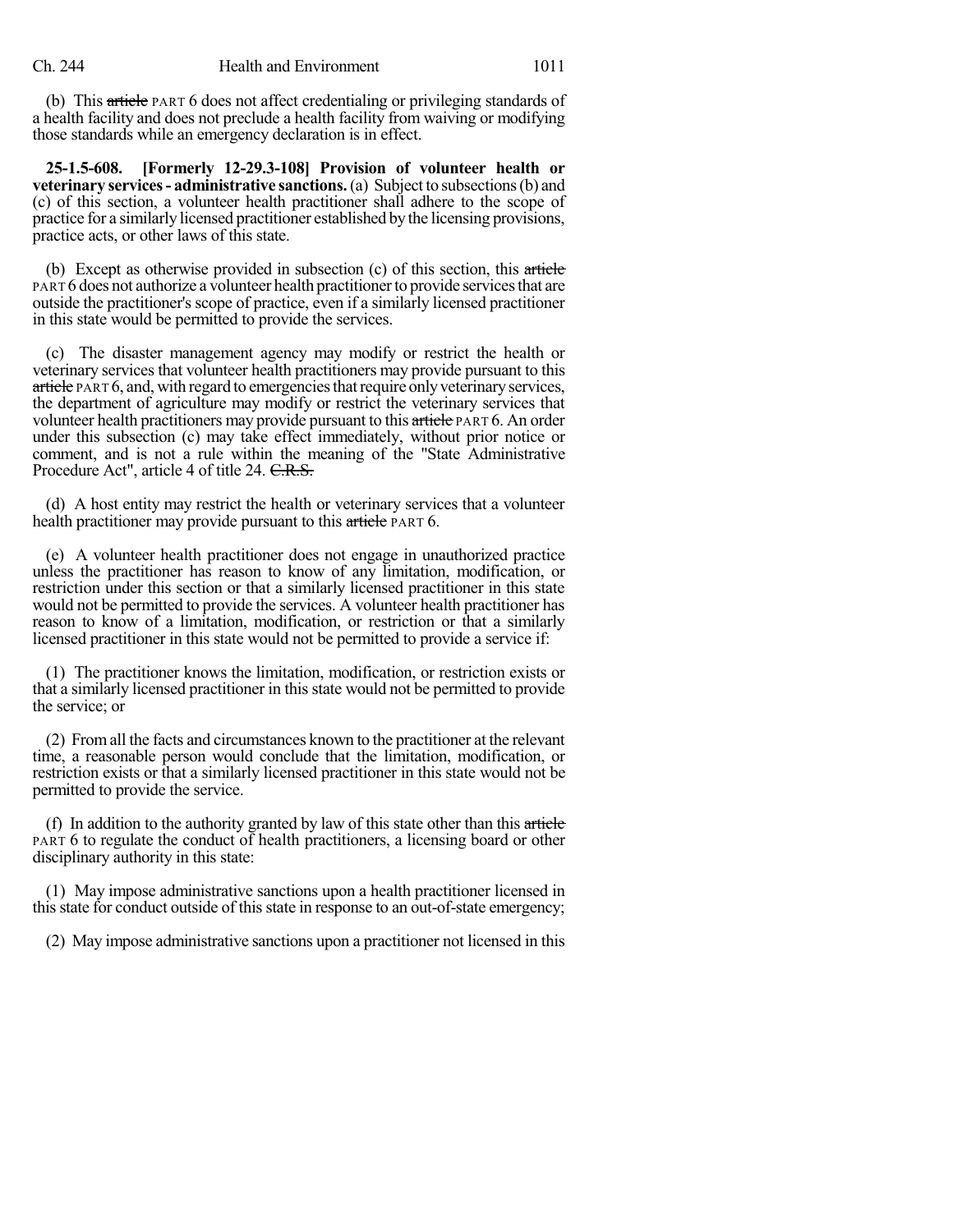(b) This article PART 6 does not affect credentialing or privileging standards of a health facility and does not preclude a health facility from waiving or modifying those standards while an emergency declaration is in effect.

**25-1.5-608. [Formerly 12-29.3-108] Provision of volunteer health or veterinary services- administrative sanctions.**(a) Subject to subsections(b) and (c) of this section, a volunteer health practitioner shall adhere to the scope of practice for a similarly licensed practitioner established bythe licensing provisions, practice acts, or other laws of this state.

(b) Except as otherwise provided in subsection (c) of this section, this article PART 6 does not authorize a volunteer health practitioner to provide services that are outside the practitioner's scope of practice, even if a similarly licensed practitioner in this state would be permitted to provide the services.

(c) The disaster management agency may modify or restrict the health or veterinary services that volunteer health practitioners may provide pursuant to this article PART 6, and, with regard to emergencies that require only veterinary services, the department of agriculture may modify or restrict the veterinary services that volunteer health practitioners may provide pursuant to this article PART 6. An order under this subsection (c) may take effect immediately, without prior notice or comment, and is not a rule within the meaning of the "State Administrative Procedure Act", article 4 of title 24. C.R.S.

(d) A host entity may restrict the health or veterinary services that a volunteer health practitioner may provide pursuant to this article PART 6.

(e) A volunteer health practitioner does not engage in unauthorized practice unless the practitioner has reason to know of any limitation, modification, or restriction under this section or that a similarly licensed practitioner in this state would not be permitted to provide the services. A volunteer health practitioner has reason to know of a limitation, modification, or restriction or that a similarly licensed practitioner in this state would not be permitted to provide a service if:

(1) The practitioner knows the limitation, modification, or restriction exists or that a similarly licensed practitioner in this state would not be permitted to provide the service; or

(2) Fromall the facts and circumstances known to the practitioner at the relevant time, a reasonable person would conclude that the limitation, modification, or restriction exists or that a similarly licensed practitioner in this state would not be permitted to provide the service.

(f) In addition to the authority granted by law of this state other than this  $\alpha$ rticle PART 6 to regulate the conduct of health practitioners, a licensing board or other disciplinary authority in this state:

(1) May impose administrative sanctions upon a health practitioner licensed in this state for conduct outside of this state in response to an out-of-state emergency;

(2) May impose administrative sanctions upon a practitioner not licensed in this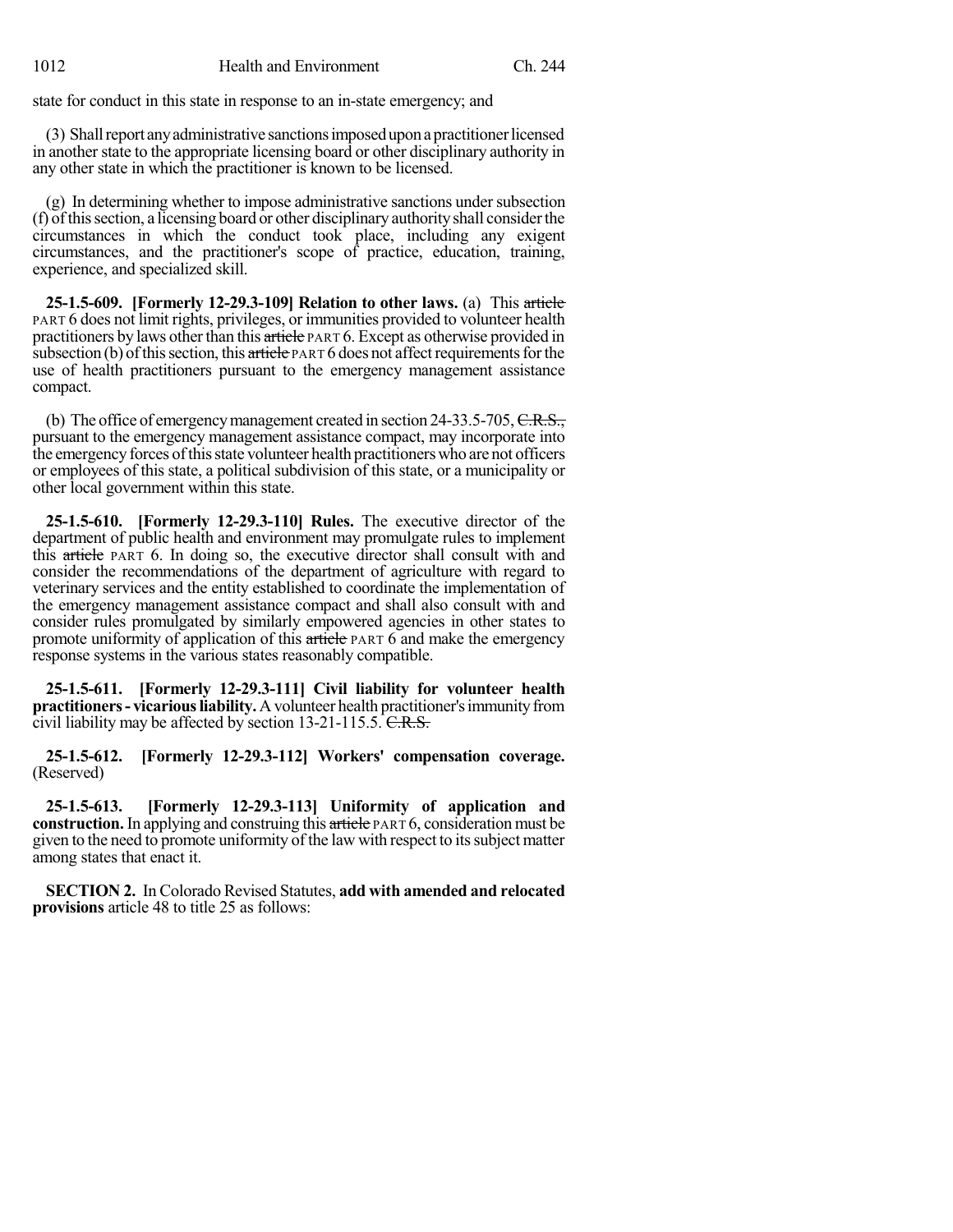state for conduct in this state in response to an in-state emergency; and

(3) Shallreport anyadministrative sanctionsimposeduponapractitionerlicensed in another state to the appropriate licensing board or other disciplinary authority in any other state in which the practitioner is known to be licensed.

(g) In determining whether to impose administrative sanctions undersubsection (f) ofthissection, a licensing board or other disciplinary authorityshall considerthe circumstances in which the conduct took place, including any exigent circumstances, and the practitioner's scope of practice, education, training, experience, and specialized skill.

**25-1.5-609. [Formerly 12-29.3-109] Relation to other laws.** (a) This article PART 6 does not limit rights, privileges, or immunities provided to volunteer health practitioners by laws other than this article PART 6. Except as otherwise provided in subsection (b) of this section, this article PART 6 does not affect requirements for the use of health practitioners pursuant to the emergency management assistance compact.

(b) The office of emergency management created in section 24-33.5-705,  $C.R.S.,$ pursuant to the emergency management assistance compact, may incorporate into the emergency forces of this state volunteer health practitioners who are not officers or employees of this state, a political subdivision of this state, or a municipality or other local government within this state.

**25-1.5-610. [Formerly 12-29.3-110] Rules.** The executive director of the department of public health and environment may promulgate rules to implement this article PART 6. In doing so, the executive director shall consult with and consider the recommendations of the department of agriculture with regard to veterinary services and the entity established to coordinate the implementation of the emergency management assistance compact and shall also consult with and consider rules promulgated by similarly empowered agencies in other states to promote uniformity of application of this  $\frac{a}{b}$  and  $\frac{b}{c}$  and make the emergency response systems in the various states reasonably compatible.

**25-1.5-611. [Formerly 12-29.3-111] Civil liability for volunteer health practitioners** - **vicarious liability.** A volunteer health practitioner's immunity from civil liability may be affected by section 13-21-115.5. C.R.S.

**25-1.5-612. [Formerly 12-29.3-112] Workers' compensation coverage.** (Reserved)

**25-1.5-613. [Formerly 12-29.3-113] Uniformity of application and construction.** In applying and construing this article PART 6, consideration must be given to the need to promote uniformity of the law with respect to itssubject matter among states that enact it.

**SECTION 2.** In Colorado Revised Statutes, **add with amended and relocated provisions** article 48 to title 25 as follows: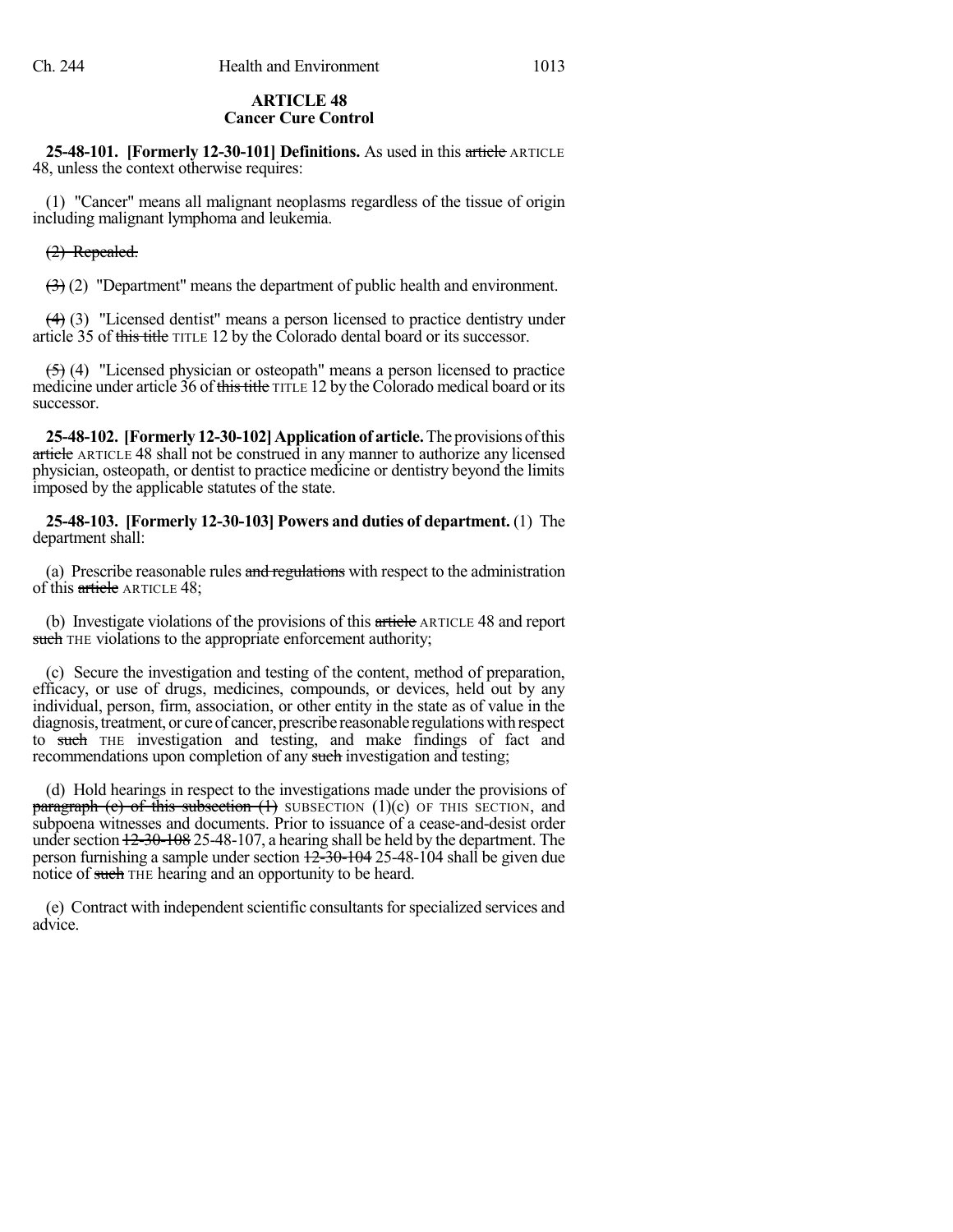#### **ARTICLE 48 Cancer Cure Control**

**25-48-101. [Formerly 12-30-101] Definitions.** As used in this article ARTICLE 48, unless the context otherwise requires:

(1) "Cancer" means all malignant neoplasms regardless of the tissue of origin including malignant lymphoma and leukemia.

### (2) Repealed.

 $(3)(2)$  "Department" means the department of public health and environment.

(4) (3) "Licensed dentist" means a person licensed to practice dentistry under article 35 of this title TITLE 12 by the Colorado dental board or its successor.

 $(5)$  (4) "Licensed physician or osteopath" means a person licensed to practice medicine under article 36 of this title TITLE 12 by the Colorado medical board or its successor.

**25-48-102. [Formerly 12-30-102]Application of article.**The provisions ofthis article ARTICLE 48 shall not be construed in any manner to authorize any licensed physician, osteopath, or dentist to practice medicine or dentistry beyond the limits imposed by the applicable statutes of the state.

**25-48-103. [Formerly 12-30-103] Powers and duties of department.** (1) The department shall:

(a) Prescribe reasonable rules and regulations with respect to the administration of this article ARTICLE 48;

(b) Investigate violations of the provisions of this article ARTICLE 48 and report such THE violations to the appropriate enforcement authority;

(c) Secure the investigation and testing of the content, method of preparation, efficacy, or use of drugs, medicines, compounds, or devices, held out by any individual, person, firm, association, or other entity in the state as of value in the diagnosis, treatment, or cure of cancer, prescribe reasonable regulations with respect to such THE investigation and testing, and make findings of fact and recommendations upon completion of any such investigation and testing;

(d) Hold hearings in respect to the investigations made under the provisions of paragraph (c) of this subsection  $(1)$  SUBSECTION  $(1)(c)$  OF THIS SECTION, and subpoena witnesses and documents. Prior to issuance of a cease-and-desist order under section  $12-30-108$  25-48-107, a hearing shall be held by the department. The person furnishing a sample under section  $\frac{12-30-104}{25-48-104}$  shall be given due notice of such THE hearing and an opportunity to be heard.

(e) Contract with independent scientific consultants for specialized services and advice.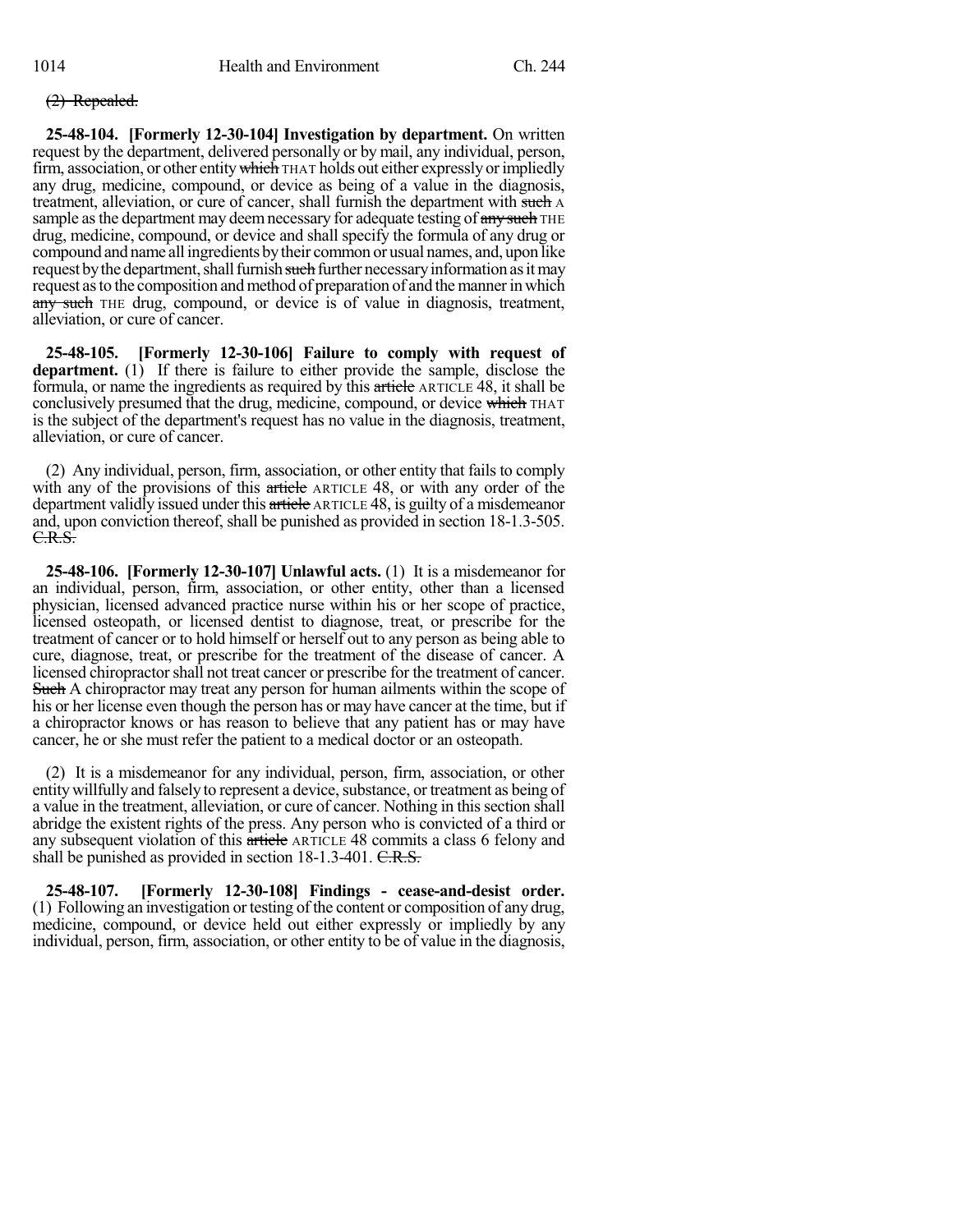### (2) Repealed.

**25-48-104. [Formerly 12-30-104] Investigation by department.** On written request by the department, delivered personally or by mail, any individual, person, firm, association, or other entity which THAT holds out either expressly or impliedly any drug, medicine, compound, or device as being of a value in the diagnosis, treatment, alleviation, or cure of cancer, shall furnish the department with such A sample as the department may deem necessary for adequate testing of any such THE drug, medicine, compound, or device and shall specify the formula of any drug or compound and name allingredients bytheir common or usual names, and, upon like request by the department, shall furnish such further necessary information as it may request asto the composition andmethod of preparation of and themannerin which any such THE drug, compound, or device is of value in diagnosis, treatment, alleviation, or cure of cancer.

**25-48-105. [Formerly 12-30-106] Failure to comply with request of department.** (1) If there is failure to either provide the sample, disclose the formula, or name the ingredients as required by this article ARTICLE 48, it shall be conclusively presumed that the drug, medicine, compound, or device which THAT is the subject of the department's request has no value in the diagnosis, treatment, alleviation, or cure of cancer.

(2) Any individual, person, firm, association, or other entity that fails to comply with any of the provisions of this article ARTICLE 48, or with any order of the department validly issued under this article ARTICLE 48, is guilty of a misdemeanor and, upon conviction thereof, shall be punished as provided in section 18-1.3-505.  $C.R.S.$ 

**25-48-106. [Formerly 12-30-107] Unlawful acts.** (1) It is a misdemeanor for an individual, person, firm, association, or other entity, other than a licensed physician, licensed advanced practice nurse within his or her scope of practice, licensed osteopath, or licensed dentist to diagnose, treat, or prescribe for the treatment of cancer or to hold himself or herself out to any person as being able to cure, diagnose, treat, or prescribe for the treatment of the disease of cancer. A licensed chiropractorshall not treat cancer or prescribe for the treatment of cancer. Such A chiropractor may treat any person for human ailments within the scope of his or her license even though the person has or may have cancer at the time, but if a chiropractor knows or has reason to believe that any patient has or may have cancer, he or she must refer the patient to a medical doctor or an osteopath.

(2) It is a misdemeanor for any individual, person, firm, association, or other entity willfully and falsely to represent a device, substance, or treatment as being of a value in the treatment, alleviation, or cure of cancer. Nothing in this section shall abridge the existent rights of the press. Any person who is convicted of a third or any subsequent violation of this article ARTICLE 48 commits a class 6 felony and shall be punished as provided in section 18-1.3-401. C.R.S.

**25-48-107. [Formerly 12-30-108] Findings - cease-and-desist order.** (1) Following an investigation or testing of the content or composition of any drug, medicine, compound, or device held out either expressly or impliedly by any individual, person, firm, association, or other entity to be of value in the diagnosis,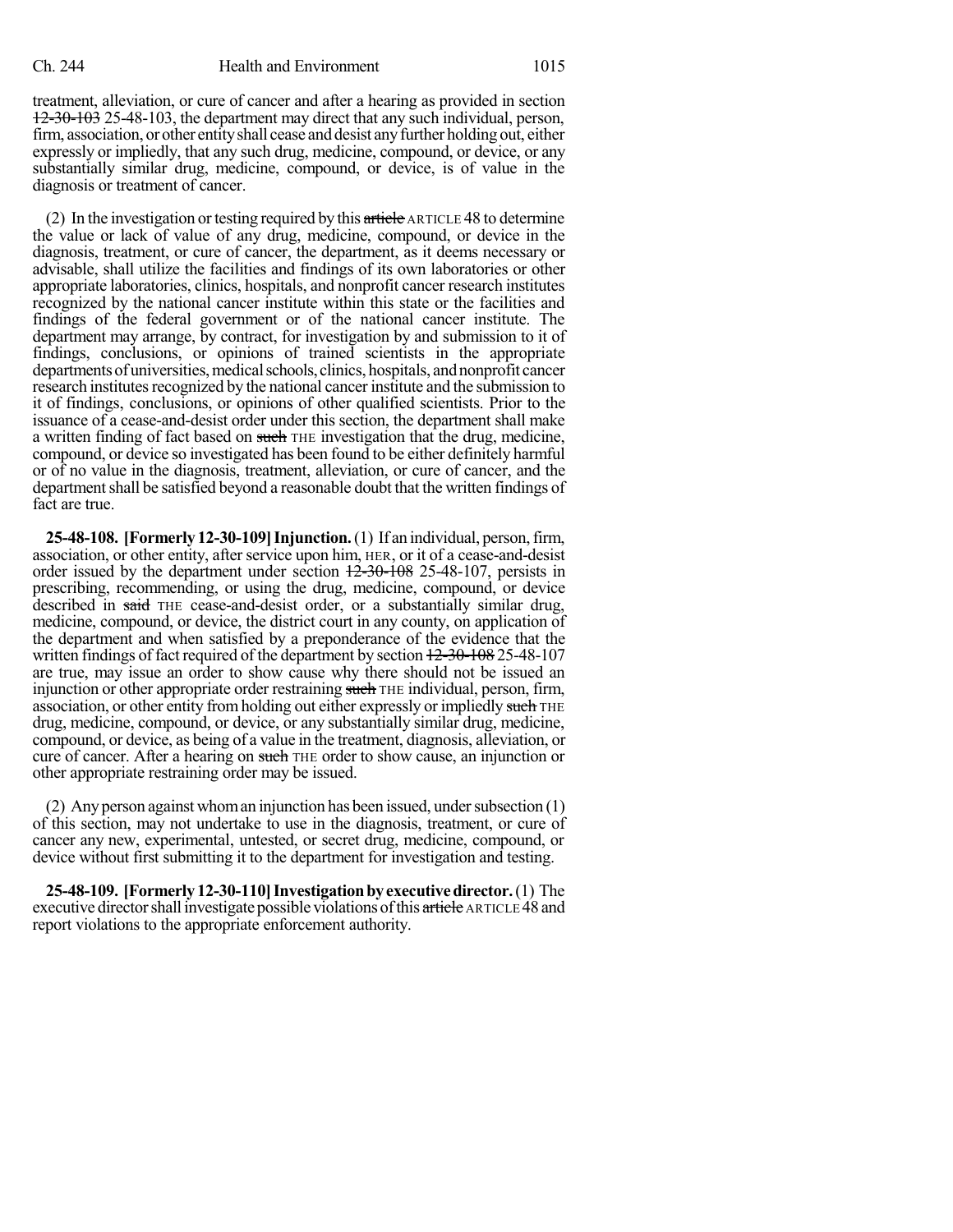treatment, alleviation, or cure of cancer and after a hearing as provided in section 12-30-103 25-48-103, the department may direct that any such individual, person, firm, association, orother entityshall cease and desist anyfurther holding out, either expressly or impliedly, that any such drug, medicine, compound, or device, or any substantially similar drug, medicine, compound, or device, is of value in the diagnosis or treatment of cancer.

(2) In the investigation or testing required by this  $\frac{a}{b}$  article ARTICLE 48 to determine the value or lack of value of any drug, medicine, compound, or device in the diagnosis, treatment, or cure of cancer, the department, as it deems necessary or advisable, shall utilize the facilities and findings of its own laboratories or other appropriate laboratories, clinics, hospitals, and nonprofit cancer research institutes recognized by the national cancer institute within this state or the facilities and findings of the federal government or of the national cancer institute. The department may arrange, by contract, for investigation by and submission to it of findings, conclusions, or opinions of trained scientists in the appropriate departments of universities, medical schools, clinics, hospitals, and nonprofit cancer research institutes recognized by the national cancer institute and the submission to it of findings, conclusions, or opinions of other qualified scientists. Prior to the issuance of a cease-and-desist order under this section, the department shall make a written finding of fact based on such THE investigation that the drug, medicine, compound, or device so investigated has been found to be either definitely harmful or of no value in the diagnosis, treatment, alleviation, or cure of cancer, and the department shall be satisfied beyond a reasonable doubt that the written findings of fact are true.

**25-48-108. [Formerly 12-30-109]Injunction.**(1) If an individual, person,firm, association, or other entity, after service upon him, HER, or it of a cease-and-desist order issued by the department under section 12-30-108 25-48-107, persists in prescribing, recommending, or using the drug, medicine, compound, or device described in said THE cease-and-desist order, or a substantially similar drug, medicine, compound, or device, the district court in any county, on application of the department and when satisfied by a preponderance of the evidence that the written findings of fact required of the department by section  $12-30-108$  25-48-107 are true, may issue an order to show cause why there should not be issued an injunction or other appropriate order restraining such THE individual, person, firm, association, or other entity from holding out either expressly or impliedly such THE drug, medicine, compound, or device, or any substantially similar drug, medicine, compound, or device, as being of a value in the treatment, diagnosis, alleviation, or cure of cancer. After a hearing on such THE order to show cause, an injunction or other appropriate restraining order may be issued.

(2) Any person against whom an injunction has been issued, under subsection  $(1)$ of this section, may not undertake to use in the diagnosis, treatment, or cure of cancer any new, experimental, untested, or secret drug, medicine, compound, or device without first submitting it to the department for investigation and testing.

**25-48-109. [Formerly12-30-110]Investigationbyexecutivedirector.**(1) The executive director shall investigate possible violations of this article ARTICLE 48 and report violations to the appropriate enforcement authority.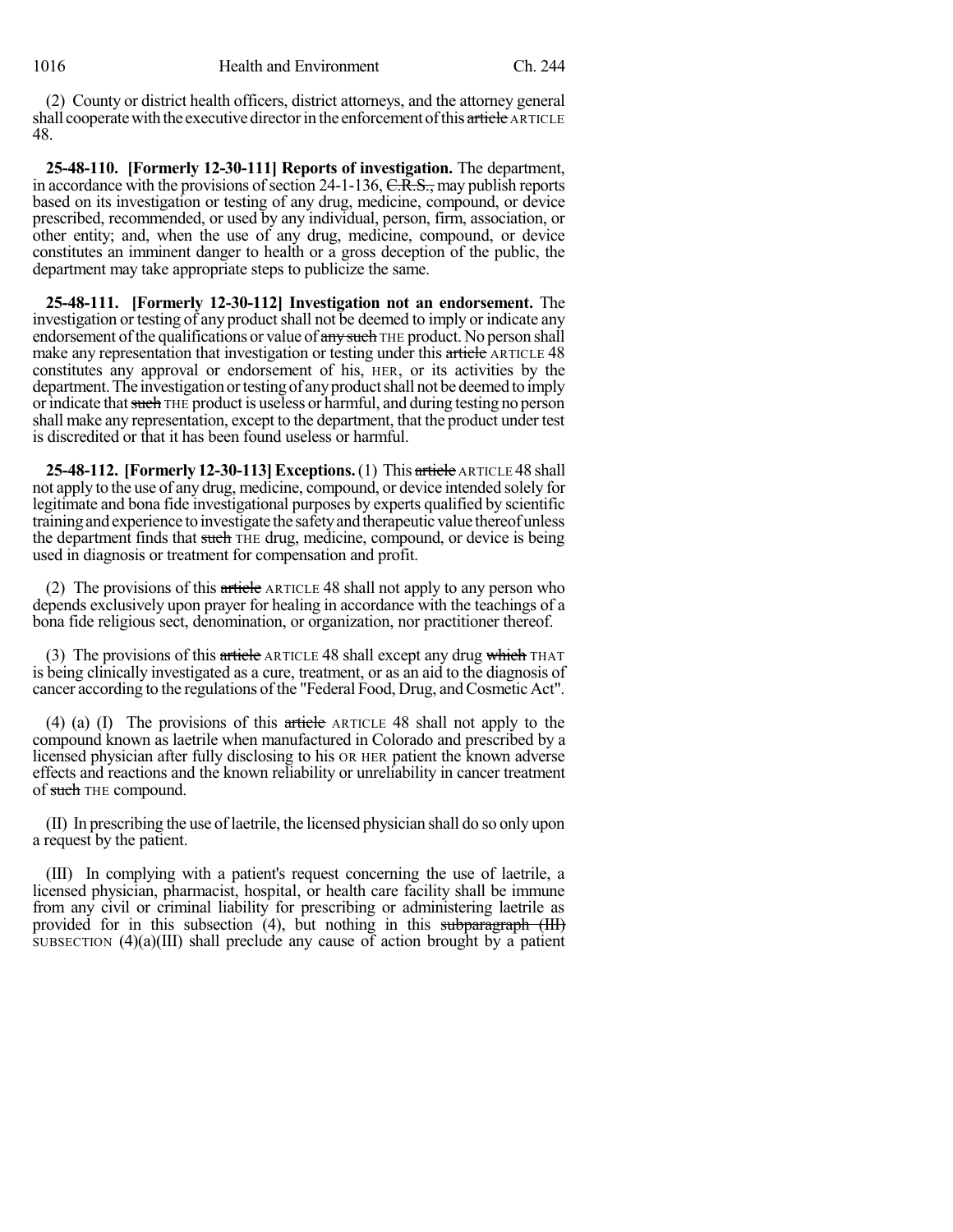(2) County or district health officers, district attorneys, and the attorney general shall cooperate with the executive director in the enforcement of this article ARTICLE 48.

**25-48-110. [Formerly 12-30-111] Reports of investigation.** The department, in accordance with the provisions of section  $24$ -1-136,  $C.R.S.,$  may publish reports based on its investigation or testing of any drug, medicine, compound, or device prescribed, recommended, or used by any individual, person, firm, association, or other entity; and, when the use of any drug, medicine, compound, or device constitutes an imminent danger to health or a gross deception of the public, the department may take appropriate steps to publicize the same.

**25-48-111. [Formerly 12-30-112] Investigation not an endorsement.** The investigation or testing of any product shall not be deemed to imply or indicate any endorsement of the qualifications or value of any such THE product. No person shall make any representation that investigation or testing under this article ARTICLE 48 constitutes any approval or endorsement of his, HER, or its activities by the department. The investigation or testing of any product shall not be deemed to imply or indicate that such THE product is useless or harmful, and during testing no person shall make any representation, except to the department, that the product under test is discredited or that it has been found useless or harmful.

**25-48-112. [Formerly 12-30-113]Exceptions.**(1) This article ARTICLE 48 shall not apply to the use of any drug, medicine, compound, or device intended solely for legitimate and bona fide investigational purposes by experts qualified by scientific training and experience to investigate the safety and therapeutic value thereof unless the department finds that such THE drug, medicine, compound, or device is being used in diagnosis or treatment for compensation and profit.

(2) The provisions of this  $\pi$  ticket ARTICLE 48 shall not apply to any person who depends exclusively upon prayer for healing in accordance with the teachings of a bona fide religious sect, denomination, or organization, nor practitioner thereof.

(3) The provisions of this article ARTICLE 48 shall except any drug which THAT is being clinically investigated as a cure, treatment, or as an aid to the diagnosis of cancer according to the regulations of the "Federal Food, Drug, and Cosmetic Act".

(4) (a) (I) The provisions of this article ARTICLE 48 shall not apply to the compound known as laetrile when manufactured in Colorado and prescribed by a licensed physician after fully disclosing to his OR HER patient the known adverse effects and reactions and the known reliability or unreliability in cancer treatment of such THE compound.

(II) In prescribing the use of laetrile, the licensed physician shall do so only upon a request by the patient.

(III) In complying with a patient's request concerning the use of laetrile, a licensed physician, pharmacist, hospital, or health care facility shall be immune from any civil or criminal liability for prescribing or administering laetrile as provided for in this subsection (4), but nothing in this subparagraph (III) SUBSECTION  $(4)(a)(III)$  shall preclude any cause of action brought by a patient